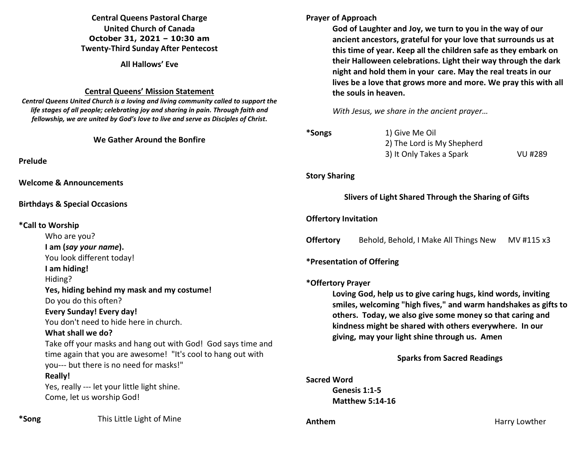# **Central Queens Pastoral Charge United Church of Canada October 31, 2021 – 10:30 am Twenty-Third Sunday After Pentecost**

**All Hallows' Eve** 

#### **Central Queens' Mission Statement**

*Central Queens United Church is a loving and living community called to support the life stages of all people; celebrating joy and sharing in pain. Through faith and fellowship, we are united by God's love to live and serve as Disciples of Christ***.** 

# **We Gather Around the Bonfir**

**Prelude** 

**Welcome & Announcements** 

#### **Birthdays & Special Occasions**

#### **\*Call to Worship**

Who are you? **I am (***say your name***).** You look different today! **I am hiding!** Hiding? Yes, hiding behind my mask and my costui Do you do this often? **Every Sunday! Every day!** You don't need to hide here in church. **What shall we do?** Take off your masks and hang out with God time again that you are awesome! "It's coo you--- but there is no need for masks!" **Really!** Yes, really --- let your little light shine. Come, let us worship God!

### **Prayer of Approach**

**God of Laughter and Joy, we turn to you in the way of our ancient ancestors, grateful for your love that surrounds us at this time of year. Keep all the children safe as they embark on their Halloween celebrations. Light their way through the dark night and hold them in your care. May the real treats in our lives be a love that grows more and more. We pray this with all the souls in heaven.** 

*With Jesus, we share in the ancient prayer…* 

| re                                          | *Songs                                                                                                                                                                                                                                                                                                                                                               | 1) Give Me Oil<br>2) The Lord is My Shepherd<br>3) It Only Takes a Spark | VU #289    |
|---------------------------------------------|----------------------------------------------------------------------------------------------------------------------------------------------------------------------------------------------------------------------------------------------------------------------------------------------------------------------------------------------------------------------|--------------------------------------------------------------------------|------------|
|                                             | <b>Story Sharing</b>                                                                                                                                                                                                                                                                                                                                                 |                                                                          |            |
|                                             |                                                                                                                                                                                                                                                                                                                                                                      | Slivers of Light Shared Through the Sharing of Gifts                     |            |
|                                             | <b>Offertory Invitation</b>                                                                                                                                                                                                                                                                                                                                          |                                                                          |            |
|                                             | <b>Offertory</b>                                                                                                                                                                                                                                                                                                                                                     | Behold, Behold, I Make All Things New                                    | MV #115 x3 |
|                                             |                                                                                                                                                                                                                                                                                                                                                                      | *Presentation of Offering                                                |            |
| me!                                         | *Offertory Prayer<br>Loving God, help us to give caring hugs, kind words, inviting<br>smiles, welcoming "high fives," and warm handshakes as gifts to<br>others. Today, we also give some money so that caring and<br>kindness might be shared with others everywhere. In our<br>giving, may your light shine through us. Amen<br><b>Sparks from Sacred Readings</b> |                                                                          |            |
| I! God says time and<br>ol to hang out with |                                                                                                                                                                                                                                                                                                                                                                      |                                                                          |            |
|                                             | <b>Sacred Word</b>                                                                                                                                                                                                                                                                                                                                                   | Genesis 1:1-5<br><b>Matthew 5:14-16</b>                                  |            |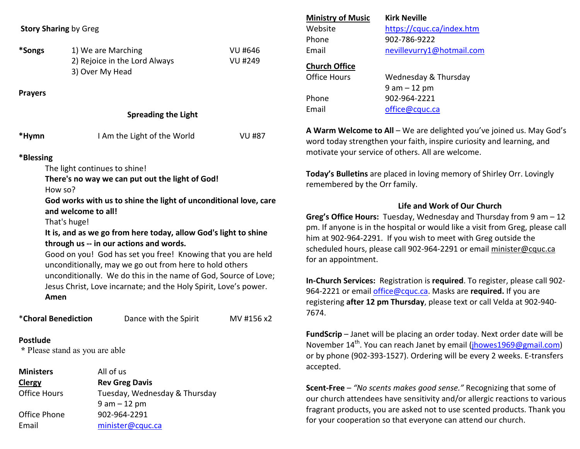|  |  | <b>Story Sharing by Greg</b> |
|--|--|------------------------------|
|--|--|------------------------------|

| *Songs | 1) We are Marching            | VU #646 |
|--------|-------------------------------|---------|
|        | 2) Rejoice in the Lord Always | VU #249 |
|        | 3) Over My Head               |         |

**Prayers** 

| <b>Spreading the Light</b> |  |  |
|----------------------------|--|--|
|                            |  |  |

| *Hymn     | I Am the Light of the World | VU #87 |
|-----------|-----------------------------|--------|
| *Blessing |                             |        |

The light continues to shine!

**There's no way we can put out the light of God!** 

How so?

**God works with us to shine the light of unconditional love, care and welcome to all!** 

That's huge!

**It is, and as we go from here today, allow God's light to shine through us -- in our actions and words.** 

Good on you! God has set you free! Knowing that you are held unconditionally, may we go out from here to hold others unconditionally. We do this in the name of God, Source of Love; Jesus Christ, Love incarnate; and the Holy Spirit, Love's power. **Amen** 

| <i>*</i> Choral Benediction                       | Dance with the Spirit | MV #156 x2 |
|---------------------------------------------------|-----------------------|------------|
| <b>Postlude</b><br>* Please stand as you are able |                       |            |

| <b>Ministers</b>    | All of us                     |
|---------------------|-------------------------------|
| <b>Clergy</b>       | <b>Rev Greg Davis</b>         |
| <b>Office Hours</b> | Tuesday, Wednesday & Thursday |
|                     | $9$ am $-12$ pm               |
| Office Phone        | 902-964-2291                  |
| Email               | minister@cquc.ca              |

| <b>Ministry of Music</b> | <b>Kirk Neville</b>       |
|--------------------------|---------------------------|
| Website                  | https://cquc.ca/index.htm |
| Phone                    | 902-786-9222              |
| Fmail                    | nevillevurry1@hotmail.com |
| <b>Church Office</b>     |                           |
| <b>Office Hours</b>      | Wednesday & Thursday      |
|                          | $9$ am $-12$ pm           |
| Phone                    | 902-964-2221              |
| Fmail                    | office@cquc.ca            |

**A Warm Welcome to All** – We are delighted you've joined us. May God's word today strengthen your faith, inspire curiosity and learning, and motivate your service of others. All are welcome.

**Today's Bulletins** are placed in loving memory of Shirley Orr. Lovingly remembered by the Orr family.

# **Life and Work of Our Church**

**Greg's Office Hours:** Tuesday, Wednesday and Thursday from 9 am – 12 pm. If anyone is in the hospital or would like a visit from Greg, please call him at 902-964-2291. If you wish to meet with Greg outside the scheduled hours, please call 902-964-2291 or email minister@cquc.ca for an appointment.

**In-Church Services:** Registration is **required**. To register, please call 902-964-2221 or email office@cquc.ca. Masks are **required.** If you are registering **after 12 pm Thursday**, please text or call Velda at 902-940- 7674.

**FundScrip** – Janet will be placing an order today. Next order date will be November 14<sup>th</sup>. You can reach Janet by email (jhowes1969@gmail.com) or by phone (902-393-1527). Ordering will be every 2 weeks. E-transfers accepted.

**Scent-Free** – *"No scents makes good sense."* Recognizing that some of our church attendees have sensitivity and/or allergic reactions to various fragrant products, you are asked not to use scented products. Thank you for your cooperation so that everyone can attend our church.